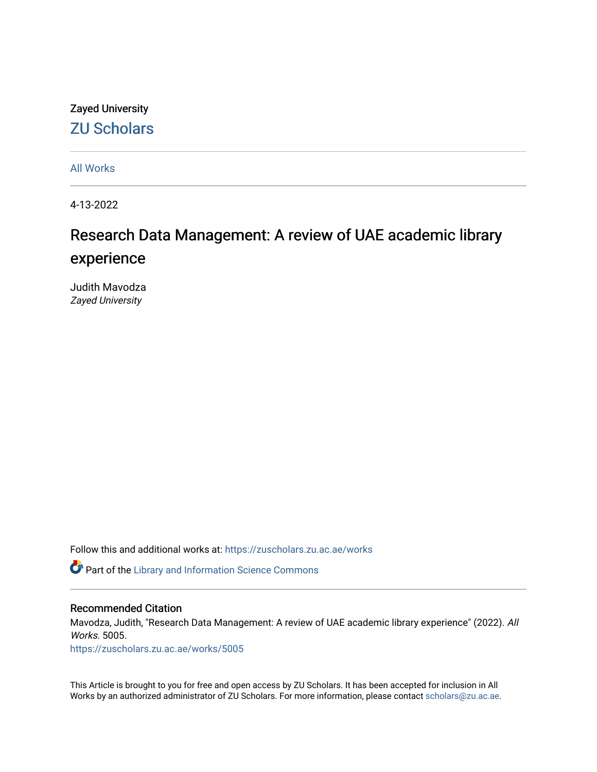# Zayed University [ZU Scholars](https://zuscholars.zu.ac.ae/)

[All Works](https://zuscholars.zu.ac.ae/works)

4-13-2022

# Research Data Management: A review of UAE academic library experience

Judith Mavodza Zayed University

Follow this and additional works at: [https://zuscholars.zu.ac.ae/works](https://zuscholars.zu.ac.ae/works?utm_source=zuscholars.zu.ac.ae%2Fworks%2F5005&utm_medium=PDF&utm_campaign=PDFCoverPages)

Part of the [Library and Information Science Commons](https://network.bepress.com/hgg/discipline/1018?utm_source=zuscholars.zu.ac.ae%2Fworks%2F5005&utm_medium=PDF&utm_campaign=PDFCoverPages) 

#### Recommended Citation

Mavodza, Judith, "Research Data Management: A review of UAE academic library experience" (2022). All Works. 5005.

[https://zuscholars.zu.ac.ae/works/5005](https://zuscholars.zu.ac.ae/works/5005?utm_source=zuscholars.zu.ac.ae%2Fworks%2F5005&utm_medium=PDF&utm_campaign=PDFCoverPages)

This Article is brought to you for free and open access by ZU Scholars. It has been accepted for inclusion in All Works by an authorized administrator of ZU Scholars. For more information, please contact [scholars@zu.ac.ae](mailto:scholars@zu.ac.ae).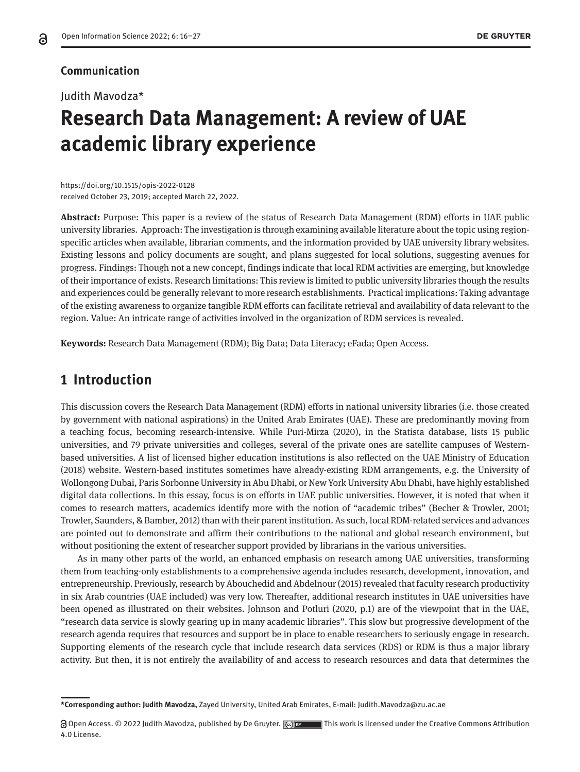#### **Communication**

#### Judith Mavodza\*

# **Research Data Management: A review of UAE academic library experience**

https://doi.org/10.1515/opis-2022-0128 received October 23, 2019; accepted March 22, 2022.

**Abstract:** Purpose: This paper is a review of the status of Research Data Management (RDM) efforts in UAE public university libraries. Approach: The investigation is through examining available literature about the topic using regionspecific articles when available, librarian comments, and the information provided by UAE university library websites. Existing lessons and policy documents are sought, and plans suggested for local solutions, suggesting avenues for progress. Findings: Though not a new concept, findings indicate that local RDM activities are emerging, but knowledge of their importance of exists. Research limitations: This review is limited to public university libraries though the results and experiences could be generally relevant to more research establishments. Practical implications: Taking advantage of the existing awareness to organize tangible RDM efforts can facilitate retrieval and availability of data relevant to the region. Value: An intricate range of activities involved in the organization of RDM services is revealed.

**Keywords:** Research Data Management (RDM); Big Data; Data Literacy; eFada; Open Access.

### **1 Introduction**

This discussion covers the Research Data Management (RDM) efforts in national university libraries (i.e. those created by government with national aspirations) in the United Arab Emirates (UAE). These are predominantly moving from a teaching focus, becoming research-intensive. While Puri-Mirza (2020), in the Statista database, lists 15 public universities, and 79 private universities and colleges, several of the private ones are satellite campuses of Westernbased universities. A list of licensed higher education institutions is also reflected on the UAE Ministry of Education (2018) website. Western-based institutes sometimes have already-existing RDM arrangements, e.g. the University of Wollongong Dubai, Paris Sorbonne University in Abu Dhabi, or New York University Abu Dhabi, have highly established digital data collections. In this essay, focus is on efforts in UAE public universities. However, it is noted that when it comes to research matters, academics identify more with the notion of "academic tribes" (Becher & Trowler, 2001; Trowler, Saunders, & Bamber, 2012) than with their parent institution. As such, local RDM-related services and advances are pointed out to demonstrate and affirm their contributions to the national and global research environment, but without positioning the extent of researcher support provided by librarians in the various universities.

As in many other parts of the world, an enhanced emphasis on research among UAE universities, transforming them from teaching-only establishments to a comprehensive agenda includes research, development, innovation, and entrepreneurship. Previously, research by Abouchedid and Abdelnour (2015) revealed that faculty research productivity in six Arab countries (UAE included) was very low. Thereafter, additional research institutes in UAE universities have been opened as illustrated on their websites. Johnson and Potluri (2020, p.1) are of the viewpoint that in the UAE, "research data service is slowly gearing up in many academic libraries". This slow but progressive development of the research agenda requires that resources and support be in place to enable researchers to seriously engage in research. Supporting elements of the research cycle that include research data services (RDS) or RDM is thus a major library activity. But then, it is not entirely the availability of and access to research resources and data that determines the

**<sup>\*</sup>Corresponding author: Judith Mavodza,** Zayed University, United Arab Emirates, E-mail: Judith.Mavodza@zu.ac.ae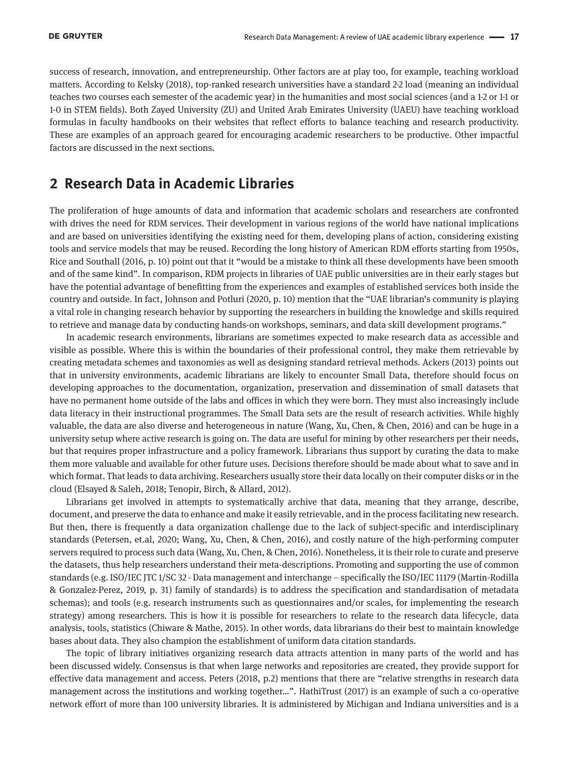success of research, innovation, and entrepreneurship. Other factors are at play too, for example, teaching workload matters. According to Kelsky (2018), top-ranked research universities have a standard 2-2 load (meaning an individual teaches two courses each semester of the academic year) in the humanities and most social sciences (and a 1-2 or 1-1 or 1-0 in STEM fields). Both Zayed University (ZU) and United Arab Emirates University (UAEU) have teaching workload formulas in faculty handbooks on their websites that reflect efforts to balance teaching and research productivity. These are examples of an approach geared for encouraging academic researchers to be productive. Other impactful factors are discussed in the next sections.

### **2 Research Data in Academic Libraries**

The proliferation of huge amounts of data and information that academic scholars and researchers are confronted with drives the need for RDM services. Their development in various regions of the world have national implications and are based on universities identifying the existing need for them, developing plans of action, considering existing tools and service models that may be reused. Recording the long history of American RDM efforts starting from 1950s, Rice and Southall (2016, p. 10) point out that it "would be a mistake to think all these developments have been smooth and of the same kind". In comparison, RDM projects in libraries of UAE public universities are in their early stages but have the potential advantage of benefitting from the experiences and examples of established services both inside the country and outside. In fact, Johnson and Potluri (2020, p. 10) mention that the "UAE librarian's community is playing a vital role in changing research behavior by supporting the researchers in building the knowledge and skills required to retrieve and manage data by conducting hands-on workshops, seminars, and data skill development programs."

In academic research environments, librarians are sometimes expected to make research data as accessible and visible as possible. Where this is within the boundaries of their professional control, they make them retrievable by creating metadata schemes and taxonomies as well as designing standard retrieval methods. Ackers (2013) points out that in university environments, academic librarians are likely to encounter Small Data, therefore should focus on developing approaches to the documentation, organization, preservation and dissemination of small datasets that have no permanent home outside of the labs and offices in which they were born. They must also increasingly include data literacy in their instructional programmes. The Small Data sets are the result of research activities. While highly valuable, the data are also diverse and heterogeneous in nature (Wang, Xu, Chen, & Chen, 2016) and can be huge in a university setup where active research is going on. The data are useful for mining by other researchers per their needs, but that requires proper infrastructure and a policy framework. Librarians thus support by curating the data to make them more valuable and available for other future uses. Decisions therefore should be made about what to save and in which format. That leads to data archiving. Researchers usually store their data locally on their computer disks or in the cloud (Elsayed & Saleh, 2018; Tenopir, Birch, & Allard, 2012).

Librarians get involved in attempts to systematically archive that data, meaning that they arrange, describe, document, and preserve the data to enhance and make it easily retrievable, and in the process facilitating new research. But then, there is frequently a data organization challenge due to the lack of subject-specific and interdisciplinary standards (Petersen, et.al, 2020; Wang, Xu, Chen, & Chen, 2016), and costly nature of the high-performing computer servers required to process such data (Wang, Xu, Chen, & Chen, 2016). Nonetheless, it is their role to curate and preserve the datasets, thus help researchers understand their meta-descriptions. Promoting and supporting the use of common standards (e.g. ISO/IEC JTC 1/SC 32 - Data management and interchange – specifically the ISO/IEC 11179 (Martin-Rodilla & Gonzalez-Perez, 2019, p. 31) family of standards) is to address the specification and standardisation of metadata schemas); and tools (e.g. research instruments such as questionnaires and/or scales, for implementing the research strategy) among researchers. This is how it is possible for researchers to relate to the research data lifecycle, data analysis, tools, statistics (Chiware & Mathe, 2015). In other words, data librarians do their best to maintain knowledge bases about data. They also champion the establishment of uniform data citation standards.

The topic of library initiatives organizing research data attracts attention in many parts of the world and has been discussed widely. Consensus is that when large networks and repositories are created, they provide support for effective data management and access. Peters (2018, p.2) mentions that there are "relative strengths in research data management across the institutions and working together…". HathiTrust (2017) is an example of such a co-operative network effort of more than 100 university libraries. It is administered by Michigan and Indiana universities and is a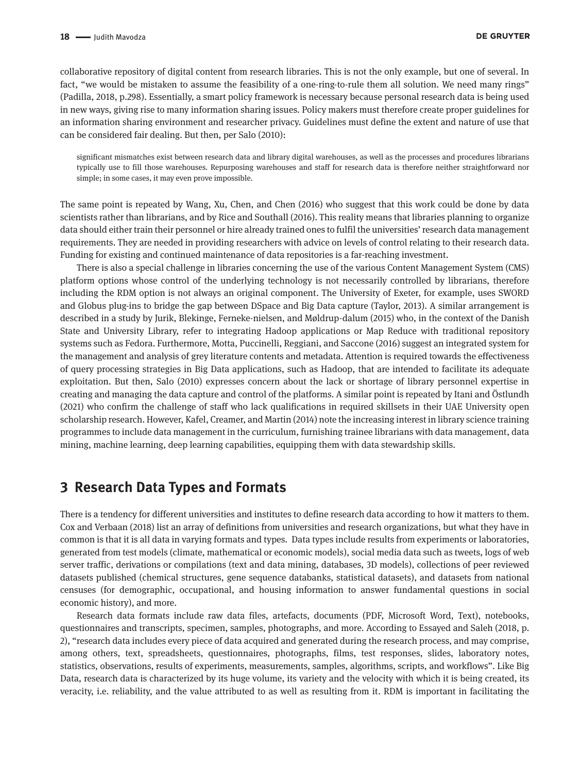collaborative repository of digital content from research libraries. This is not the only example, but one of several. In fact, "we would be mistaken to assume the feasibility of a one-ring-to-rule them all solution. We need many rings" (Padilla, 2018, p.298). Essentially, a smart policy framework is necessary because personal research data is being used in new ways, giving rise to many information sharing issues. Policy makers must therefore create proper guidelines for an information sharing environment and researcher privacy. Guidelines must define the extent and nature of use that can be considered fair dealing. But then, per Salo (2010):

significant mismatches exist between research data and library digital warehouses, as well as the processes and procedures librarians typically use to fill those warehouses. Repurposing warehouses and staff for research data is therefore neither straightforward nor simple; in some cases, it may even prove impossible.

The same point is repeated by Wang, Xu, Chen, and Chen (2016) who suggest that this work could be done by data scientists rather than librarians, and by Rice and Southall (2016). This reality means that libraries planning to organize data should either train their personnel or hire already trained ones to fulfil the universities' research data management requirements. They are needed in providing researchers with advice on levels of control relating to their research data. Funding for existing and continued maintenance of data repositories is a far-reaching investment.

There is also a special challenge in libraries concerning the use of the various Content Management System (CMS) platform options whose control of the underlying technology is not necessarily controlled by librarians, therefore including the RDM option is not always an original component. The University of Exeter, for example, uses SWORD and Globus plug-ins to bridge the gap between DSpace and Big Data capture (Taylor, 2013). A similar arrangement is described in a study by Jurik, Blekinge, Ferneke-nielsen, and Møldrup-dalum (2015) who, in the context of the Danish State and University Library, refer to integrating Hadoop applications or Map Reduce with traditional repository systems such as Fedora. Furthermore, Motta, Puccinelli, Reggiani, and Saccone (2016) suggest an integrated system for the management and analysis of grey literature contents and metadata. Attention is required towards the effectiveness of query processing strategies in Big Data applications, such as Hadoop, that are intended to facilitate its adequate exploitation. But then, Salo (2010) expresses concern about the lack or shortage of library personnel expertise in creating and managing the data capture and control of the platforms. A similar point is repeated by Itani and Östlundh (2021) who confirm the challenge of staff who lack qualifications in required skillsets in their UAE University open scholarship research. However, Kafel, Creamer, and Martin (2014) note the increasing interest in library science training programmes to include data management in the curriculum, furnishing trainee librarians with data management, data mining, machine learning, deep learning capabilities, equipping them with data stewardship skills.

## **3 Research Data Types and Formats**

There is a tendency for different universities and institutes to define research data according to how it matters to them. Cox and Verbaan (2018) list an array of definitions from universities and research organizations, but what they have in common is that it is all data in varying formats and types. Data types include results from experiments or laboratories, generated from test models (climate, mathematical or economic models), social media data such as tweets, logs of web server traffic, derivations or compilations (text and data mining, databases, 3D models), collections of peer reviewed datasets published (chemical structures, gene sequence databanks, statistical datasets), and datasets from national censuses (for demographic, occupational, and housing information to answer fundamental questions in social economic history), and more.

Research data formats include raw data files, artefacts, documents (PDF, Microsoft Word, Text), notebooks, questionnaires and transcripts, specimen, samples, photographs, and more. According to Essayed and Saleh (2018, p. 2), "research data includes every piece of data acquired and generated during the research process, and may comprise, among others, text, spreadsheets, questionnaires, photographs, films, test responses, slides, laboratory notes, statistics, observations, results of experiments, measurements, samples, algorithms, scripts, and workflows". Like Big Data, research data is characterized by its huge volume, its variety and the velocity with which it is being created, its veracity, i.e. reliability, and the value attributed to as well as resulting from it. RDM is important in facilitating the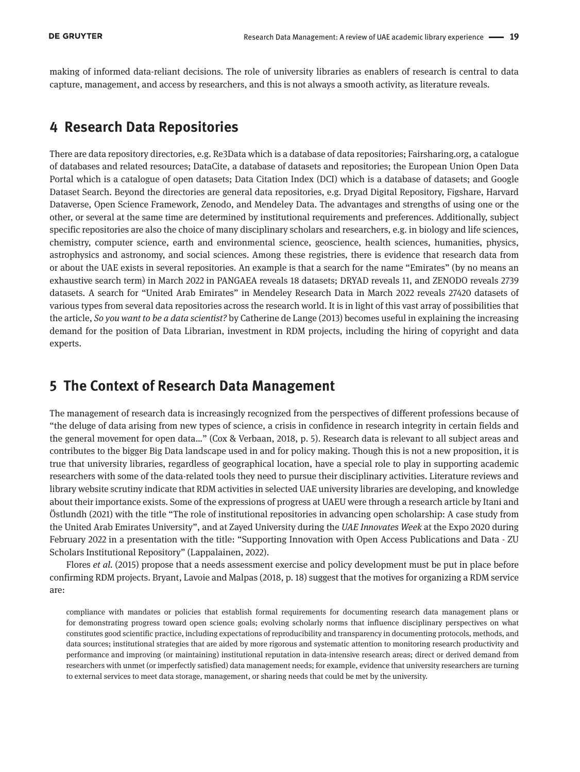making of informed data-reliant decisions. The role of university libraries as enablers of research is central to data capture, management, and access by researchers, and this is not always a smooth activity, as literature reveals.

#### **4 Research Data Repositories**

There are data repository directories, e.g. Re3Data which is a database of data repositories; Fairsharing.org, a catalogue of databases and related resources; DataCite, a database of datasets and repositories; the European Union Open Data Portal which is a catalogue of open datasets; Data Citation Index (DCI) which is a database of datasets; and Google Dataset Search. Beyond the directories are general data repositories, e.g. Dryad Digital Repository, Figshare, Harvard Dataverse, Open Science Framework, Zenodo, and Mendeley Data. The advantages and strengths of using one or the other, or several at the same time are determined by institutional requirements and preferences. Additionally, subject specific repositories are also the choice of many disciplinary scholars and researchers, e.g. in biology and life sciences, chemistry, computer science, earth and environmental science, geoscience, health sciences, humanities, physics, astrophysics and astronomy, and social sciences. Among these registries, there is evidence that research data from or about the UAE exists in several repositories. An example is that a search for the name "Emirates" (by no means an exhaustive search term) in March 2022 in PANGAEA reveals 18 datasets; DRYAD reveals 11, and ZENODO reveals 2739 datasets. A search for "United Arab Emirates" in Mendeley Research Data in March 2022 reveals 27420 datasets of various types from several data repositories across the research world. It is in light of this vast array of possibilities that the article, *So you want to be a data scientist?* by Catherine de Lange (2013) becomes useful in explaining the increasing demand for the position of Data Librarian, investment in RDM projects, including the hiring of copyright and data experts.

## **5 The Context of Research Data Management**

The management of research data is increasingly recognized from the perspectives of different professions because of "the deluge of data arising from new types of science, a crisis in confidence in research integrity in certain fields and the general movement for open data…" (Cox & Verbaan, 2018, p. 5). Research data is relevant to all subject areas and contributes to the bigger Big Data landscape used in and for policy making. Though this is not a new proposition, it is true that university libraries, regardless of geographical location, have a special role to play in supporting academic researchers with some of the data-related tools they need to pursue their disciplinary activities. Literature reviews and library website scrutiny indicate that RDM activities in selected UAE university libraries are developing, and knowledge about their importance exists. Some of the expressions of progress at UAEU were through a research article by Itani and Östlundh (2021) with the title "The role of institutional repositories in advancing open scholarship: A case study from the United Arab Emirates University", and at Zayed University during the *UAE Innovates Week* at the Expo 2020 during February 2022 in a presentation with the title: "Supporting Innovation with Open Access Publications and Data - ZU Scholars Institutional Repository" (Lappalainen, 2022).

Flores *et al.* (2015) propose that a needs assessment exercise and policy development must be put in place before confirming RDM projects. Bryant, Lavoie and Malpas (2018, p. 18) suggest that the motives for organizing a RDM service are:

compliance with mandates or policies that establish formal requirements for documenting research data management plans or for demonstrating progress toward open science goals; evolving scholarly norms that influence disciplinary perspectives on what constitutes good scientific practice, including expectations of reproducibility and transparency in documenting protocols, methods, and data sources; institutional strategies that are aided by more rigorous and systematic attention to monitoring research productivity and performance and improving (or maintaining) institutional reputation in data-intensive research areas; direct or derived demand from researchers with unmet (or imperfectly satisfied) data management needs; for example, evidence that university researchers are turning to external services to meet data storage, management, or sharing needs that could be met by the university.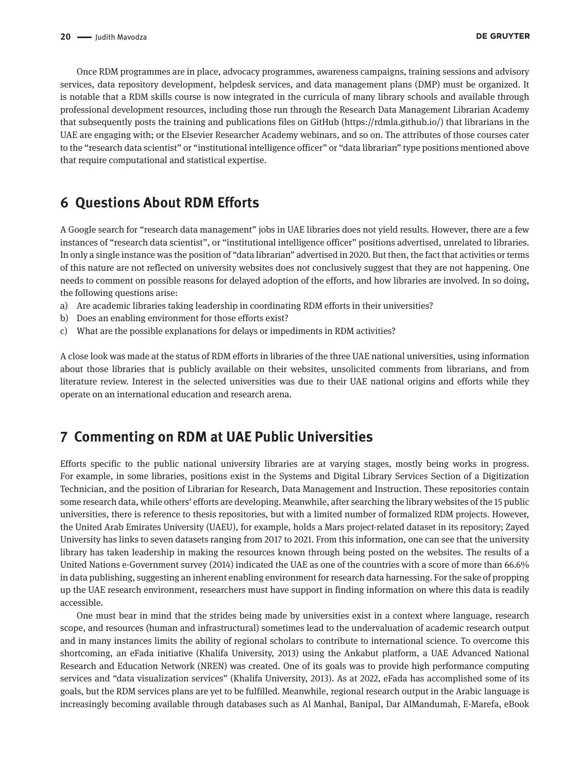Once RDM programmes are in place, advocacy programmes, awareness campaigns, training sessions and advisory services, data repository development, helpdesk services, and data management plans (DMP) must be organized. It is notable that a RDM skills course is now integrated in the curricula of many library schools and available through professional development resources, including those run through the Research Data Management Librarian Academy that subsequently posts the training and publications files on GitHub (<https://rdmla.github.io/>) that librarians in the UAE are engaging with; or the Elsevier Researcher Academy webinars, and so on. The attributes of those courses cater to the "research data scientist" or "institutional intelligence officer" or "data librarian" type positions mentioned above that require computational and statistical expertise.

## **6 Questions About RDM Efforts**

A Google search for "research data management" jobs in UAE libraries does not yield results. However, there are a few instances of "research data scientist", or "institutional intelligence officer" positions advertised, unrelated to libraries. In only a single instance was the position of "data librarian" advertised in 2020. But then, the fact that activities or terms of this nature are not reflected on university websites does not conclusively suggest that they are not happening. One needs to comment on possible reasons for delayed adoption of the efforts, and how libraries are involved. In so doing, the following questions arise:

- a) Are academic libraries taking leadership in coordinating RDM efforts in their universities?
- b) Does an enabling environment for those efforts exist?
- c) What are the possible explanations for delays or impediments in RDM activities?

A close look was made at the status of RDM efforts in libraries of the three UAE national universities, using information about those libraries that is publicly available on their websites, unsolicited comments from librarians, and from literature review. Interest in the selected universities was due to their UAE national origins and efforts while they operate on an international education and research arena.

## **7 Commenting on RDM at UAE Public Universities**

Efforts specific to the public national university libraries are at varying stages, mostly being works in progress. For example, in some libraries, positions exist in the Systems and Digital Library Services Section of a Digitization Technician, and the position of Librarian for Research, Data Management and Instruction. These repositories contain some research data, while others' efforts are developing. Meanwhile, after searching the library websites of the 15 public universities, there is reference to thesis repositories, but with a limited number of formalized RDM projects. However, the United Arab Emirates University (UAEU), for example, holds a Mars project-related dataset in its repository; Zayed University has links to seven datasets ranging from 2017 to 2021. From this information, one can see that the university library has taken leadership in making the resources known through being posted on the websites. The results of a United Nations e-Government survey (2014) indicated the UAE as one of the countries with a score of more than 66.6% in data publishing, suggesting an inherent enabling environment for research data harnessing. For the sake of propping up the UAE research environment, researchers must have support in finding information on where this data is readily accessible.

One must bear in mind that the strides being made by universities exist in a context where language, research scope, and resources (human and infrastructural) sometimes lead to the undervaluation of academic research output and in many instances limits the ability of regional scholars to contribute to international science. To overcome this shortcoming, an eFada initiative (Khalifa University, 2013) using the Ankabut platform, a UAE Advanced National Research and Education Network (NREN) was created. One of its goals was to provide high performance computing services and "data visualization services" (Khalifa University, 2013). As at 2022, eFada has accomplished some of its goals, but the RDM services plans are yet to be fulfilled. Meanwhile, regional research output in the Arabic language is increasingly becoming available through databases such as Al Manhal, Banipal, Dar AlMandumah, E-Marefa, eBook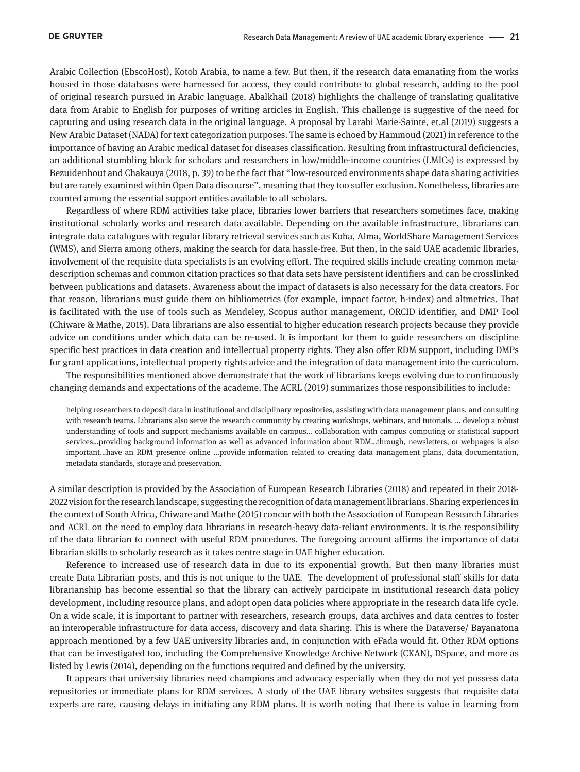Arabic Collection (EbscoHost), Kotob Arabia, to name a few. But then, if the research data emanating from the works housed in those databases were harnessed for access, they could contribute to global research, adding to the pool of original research pursued in Arabic language. Abalkhail (2018) highlights the challenge of translating qualitative data from Arabic to English for purposes of writing articles in English. This challenge is suggestive of the need for capturing and using research data in the original language. A proposal by Larabi Marie-Sainte, et.al (2019) suggests a New Arabic Dataset (NADA) for text categorization purposes. The same is echoed by Hammoud (2021) in reference to the importance of having an Arabic medical dataset for diseases classification. Resulting from infrastructural deficiencies, an additional stumbling block for scholars and researchers in low/middle-income countries (LMICs) is expressed by Bezuidenhout and Chakauya (2018, p. 39) to be the fact that "low-resourced environments shape data sharing activities but are rarely examined within Open Data discourse", meaning that they too suffer exclusion. Nonetheless, libraries are counted among the essential support entities available to all scholars.

Regardless of where RDM activities take place, libraries lower barriers that researchers sometimes face, making institutional scholarly works and research data available. Depending on the available infrastructure, librarians can integrate data catalogues with regular library retrieval services such as Koha, Alma, WorldShare Management Services (WMS), and Sierra among others, making the search for data hassle-free. But then, in the said UAE academic libraries, involvement of the requisite data specialists is an evolving effort. The required skills include creating common metadescription schemas and common citation practices so that data sets have persistent identifiers and can be crosslinked between publications and datasets. Awareness about the impact of datasets is also necessary for the data creators. For that reason, librarians must guide them on bibliometrics (for example, impact factor, h-index) and altmetrics. That is facilitated with the use of tools such as Mendeley, Scopus author management, ORCID identifier, and DMP Tool (Chiware & Mathe, 2015). Data librarians are also essential to higher education research projects because they provide advice on conditions under which data can be re-used. It is important for them to guide researchers on discipline specific best practices in data creation and intellectual property rights. They also offer RDM support, including DMPs for grant applications, intellectual property rights advice and the integration of data management into the curriculum.

The responsibilities mentioned above demonstrate that the work of librarians keeps evolving due to continuously changing demands and expectations of the academe. The ACRL (2019) summarizes those responsibilities to include:

helping researchers to deposit data in institutional and disciplinary repositories, assisting with data management plans, and consulting with research teams. Librarians also serve the research community by creating workshops, webinars, and tutorials. … develop a robust understanding of tools and support mechanisms available on campus… collaboration with campus computing or statistical support services…providing background information as well as advanced information about RDM…through, newsletters, or webpages is also important…have an RDM presence online …provide information related to creating data management plans, data documentation, metadata standards, storage and preservation.

A similar description is provided by the Association of European Research Libraries (2018) and repeated in their 2018- 2022 vision for the research landscape, suggesting the recognition of data management librarians. Sharing experiences in the context of South Africa, Chiware and Mathe (2015) concur with both the Association of European Research Libraries and ACRL on the need to employ data librarians in research-heavy data-reliant environments. It is the responsibility of the data librarian to connect with useful RDM procedures. The foregoing account affirms the importance of data librarian skills to scholarly research as it takes centre stage in UAE higher education.

Reference to increased use of research data in due to its exponential growth. But then many libraries must create Data Librarian posts, and this is not unique to the UAE. The development of professional staff skills for data librarianship has become essential so that the library can actively participate in institutional research data policy development, including resource plans, and adopt open data policies where appropriate in the research data life cycle. On a wide scale, it is important to partner with researchers, research groups, data archives and data centres to foster an interoperable infrastructure for data access, discovery and data sharing. This is where the Dataverse/ Bayanatona approach mentioned by a few UAE university libraries and, in conjunction with eFada would fit. Other RDM options that can be investigated too, including the Comprehensive Knowledge Archive Network (CKAN), DSpace, and more as listed by Lewis (2014), depending on the functions required and defined by the university.

It appears that university libraries need champions and advocacy especially when they do not yet possess data repositories or immediate plans for RDM services. A study of the UAE library websites suggests that requisite data experts are rare, causing delays in initiating any RDM plans. It is worth noting that there is value in learning from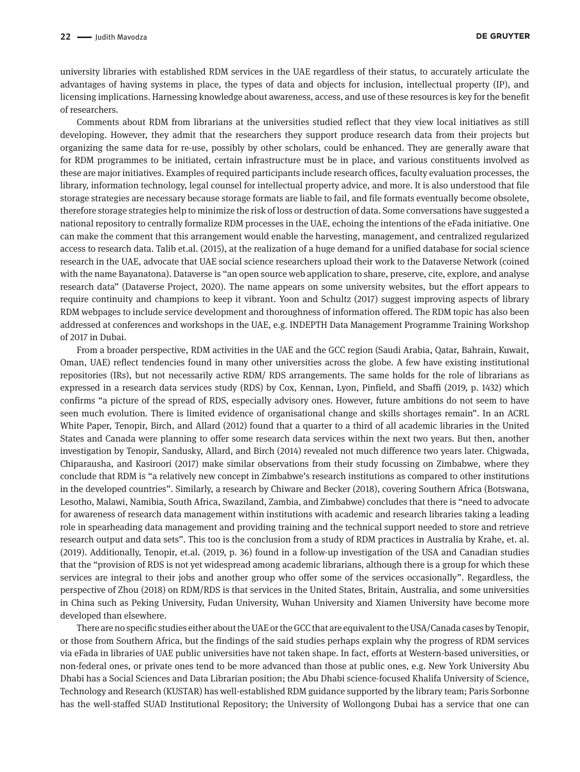university libraries with established RDM services in the UAE regardless of their status, to accurately articulate the advantages of having systems in place, the types of data and objects for inclusion, intellectual property (IP), and licensing implications. Harnessing knowledge about awareness, access, and use of these resources is key for the benefit of researchers.

Comments about RDM from librarians at the universities studied reflect that they view local initiatives as still developing. However, they admit that the researchers they support produce research data from their projects but organizing the same data for re-use, possibly by other scholars, could be enhanced. They are generally aware that for RDM programmes to be initiated, certain infrastructure must be in place, and various constituents involved as these are major initiatives. Examples of required participants include research offices, faculty evaluation processes, the library, information technology, legal counsel for intellectual property advice, and more. It is also understood that file storage strategies are necessary because storage formats are liable to fail, and file formats eventually become obsolete, therefore storage strategies help to minimize the risk of loss or destruction of data. Some conversations have suggested a national repository to centrally formalize RDM processes in the UAE, echoing the intentions of the eFada initiative. One can make the comment that this arrangement would enable the harvesting, management, and centralized regularized access to research data. Talib et.al. (2015), at the realization of a huge demand for a unified database for social science research in the UAE, advocate that UAE social science researchers upload their work to the Dataverse Network (coined with the name Bayanatona). Dataverse is "an open source web application to share, preserve, cite, explore, and analyse research data" (Dataverse Project, 2020). The name appears on some university websites, but the effort appears to require continuity and champions to keep it vibrant. Yoon and Schultz (2017) suggest improving aspects of library RDM webpages to include service development and thoroughness of information offered. The RDM topic has also been addressed at conferences and workshops in the UAE, e.g. INDEPTH Data Management Programme Training Workshop of 2017 in Dubai.

From a broader perspective, RDM activities in the UAE and the GCC region (Saudi Arabia, Qatar, Bahrain, Kuwait, Oman, UAE) reflect tendencies found in many other universities across the globe. A few have existing institutional repositories (IRs), but not necessarily active RDM/ RDS arrangements. The same holds for the role of librarians as expressed in a research data services study (RDS) by Cox, Kennan, Lyon, Pinfield, and Sbaffi (2019, p. 1432) which confirms "a picture of the spread of RDS, especially advisory ones. However, future ambitions do not seem to have seen much evolution. There is limited evidence of organisational change and skills shortages remain". In an ACRL White Paper, Tenopir, Birch, and Allard (2012) found that a quarter to a third of all academic libraries in the United States and Canada were planning to offer some research data services within the next two years. But then, another investigation by Tenopir, Sandusky, Allard, and Birch (2014) revealed not much difference two years later. Chigwada, Chiparausha, and Kasiroori (2017) make similar observations from their study focussing on Zimbabwe, where they conclude that RDM is "a relatively new concept in Zimbabwe's research institutions as compared to other institutions in the developed countries". Similarly, a research by Chiware and Becker (2018), covering Southern Africa (Botswana, Lesotho, Malawi, Namibia, South Africa, Swaziland, Zambia, and Zimbabwe) concludes that there is "need to advocate for awareness of research data management within institutions with academic and research libraries taking a leading role in spearheading data management and providing training and the technical support needed to store and retrieve research output and data sets". This too is the conclusion from a study of RDM practices in Australia by Krahe, et. al. (2019). Additionally, Tenopir, et.al. (2019, p. 36) found in a follow-up investigation of the USA and Canadian studies that the "provision of RDS is not yet widespread among academic librarians, although there is a group for which these services are integral to their jobs and another group who offer some of the services occasionally". Regardless, the perspective of Zhou (2018) on RDM/RDS is that services in the United States, Britain, Australia, and some universities in China such as Peking University, Fudan University, Wuhan University and Xiamen University have become more developed than elsewhere.

There are no specific studies either about the UAE or the GCC that are equivalent to the USA/Canada cases by Tenopir, or those from Southern Africa, but the findings of the said studies perhaps explain why the progress of RDM services via eFada in libraries of UAE public universities have not taken shape. In fact, efforts at Western-based universities, or non-federal ones, or private ones tend to be more advanced than those at public ones, e.g. New York University Abu Dhabi has a Social Sciences and Data Librarian position; the Abu Dhabi science-focused Khalifa University of Science, Technology and Research (KUSTAR) has well-established RDM guidance supported by the library team; Paris Sorbonne has the well-staffed SUAD Institutional Repository; the University of Wollongong Dubai has a service that one can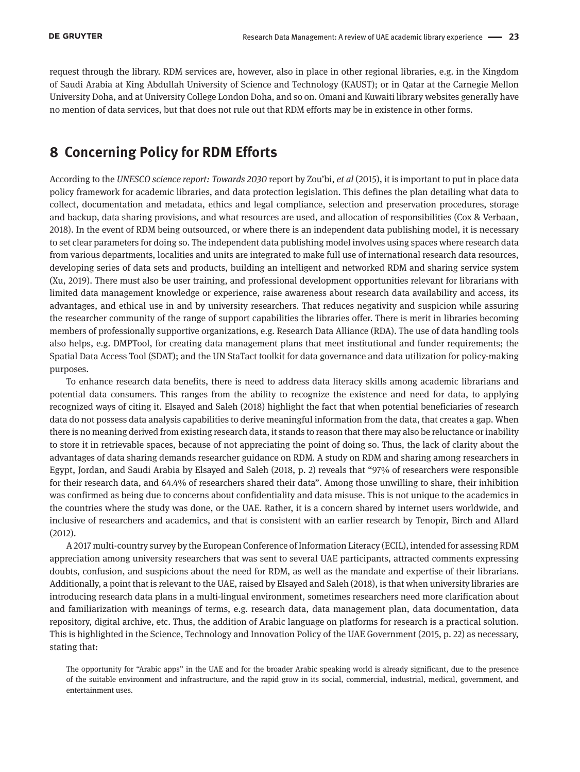request through the library. RDM services are, however, also in place in other regional libraries, e.g. in the Kingdom of Saudi Arabia at King Abdullah University of Science and Technology (KAUST); or in Qatar at the Carnegie Mellon University Doha, and at University College London Doha, and so on. Omani and Kuwaiti library websites generally have no mention of data services, but that does not rule out that RDM efforts may be in existence in other forms.

## **8 Concerning Policy for RDM Efforts**

According to the *UNESCO science report: Towards 2030* report by Zou'bi, *et al* (2015), it is important to put in place data policy framework for academic libraries, and data protection legislation. This defines the plan detailing what data to collect, documentation and metadata, ethics and legal compliance, selection and preservation procedures, storage and backup, data sharing provisions, and what resources are used, and allocation of responsibilities (Cox & Verbaan, 2018). In the event of RDM being outsourced, or where there is an independent data publishing model, it is necessary to set clear parameters for doing so. The independent data publishing model involves using spaces where research data from various departments, localities and units are integrated to make full use of international research data resources, developing series of data sets and products, building an intelligent and networked RDM and sharing service system (Xu, 2019). There must also be user training, and professional development opportunities relevant for librarians with limited data management knowledge or experience, raise awareness about research data availability and access, its advantages, and ethical use in and by university researchers. That reduces negativity and suspicion while assuring the researcher community of the range of support capabilities the libraries offer. There is merit in libraries becoming members of professionally supportive organizations, e.g. Research Data Alliance (RDA). The use of data handling tools also helps, e.g. DMPTool, for creating data management plans that meet institutional and funder requirements; the Spatial Data Access Tool (SDAT); and the UN StaTact toolkit for data governance and data utilization for policy-making purposes.

To enhance research data benefits, there is need to address data literacy skills among academic librarians and potential data consumers. This ranges from the ability to recognize the existence and need for data, to applying recognized ways of citing it. Elsayed and Saleh (2018) highlight the fact that when potential beneficiaries of research data do not possess data analysis capabilities to derive meaningful information from the data, that creates a gap. When there is no meaning derived from existing research data, it stands to reason that there may also be reluctance or inability to store it in retrievable spaces, because of not appreciating the point of doing so. Thus, the lack of clarity about the advantages of data sharing demands researcher guidance on RDM. A study on RDM and sharing among researchers in Egypt, Jordan, and Saudi Arabia by Elsayed and Saleh (2018, p. 2) reveals that "97% of researchers were responsible for their research data, and 64.4% of researchers shared their data". Among those unwilling to share, their inhibition was confirmed as being due to concerns about confidentiality and data misuse. This is not unique to the academics in the countries where the study was done, or the UAE. Rather, it is a concern shared by internet users worldwide, and inclusive of researchers and academics, and that is consistent with an earlier research by Tenopir, Birch and Allard (2012).

A 2017 multi-country survey by the European Conference of Information Literacy (ECIL), intended for assessing RDM appreciation among university researchers that was sent to several UAE participants, attracted comments expressing doubts, confusion, and suspicions about the need for RDM, as well as the mandate and expertise of their librarians. Additionally, a point that is relevant to the UAE, raised by Elsayed and Saleh (2018), is that when university libraries are introducing research data plans in a multi-lingual environment, sometimes researchers need more clarification about and familiarization with meanings of terms, e.g. research data, data management plan, data documentation, data repository, digital archive, etc. Thus, the addition of Arabic language on platforms for research is a practical solution. This is highlighted in the Science, Technology and Innovation Policy of the UAE Government (2015, p. 22) as necessary, stating that:

The opportunity for "Arabic apps" in the UAE and for the broader Arabic speaking world is already significant, due to the presence of the suitable environment and infrastructure, and the rapid grow in its social, commercial, industrial, medical, government, and entertainment uses.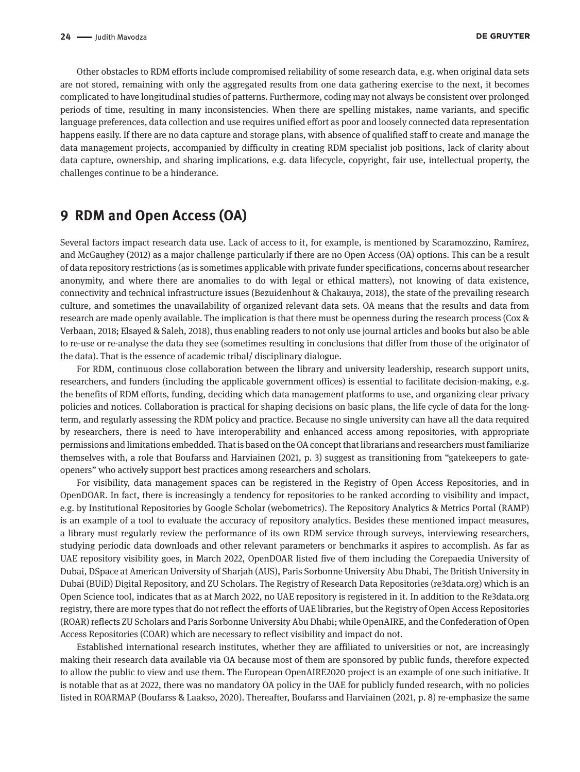Other obstacles to RDM efforts include compromised reliability of some research data, e.g. when original data sets are not stored, remaining with only the aggregated results from one data gathering exercise to the next, it becomes complicated to have longitudinal studies of patterns. Furthermore, coding may not always be consistent over prolonged periods of time, resulting in many inconsistencies. When there are spelling mistakes, name variants, and specific language preferences, data collection and use requires unified effort as poor and loosely connected data representation happens easily. If there are no data capture and storage plans, with absence of qualified staff to create and manage the data management projects, accompanied by difficulty in creating RDM specialist job positions, lack of clarity about data capture, ownership, and sharing implications, e.g. data lifecycle, copyright, fair use, intellectual property, the challenges continue to be a hinderance.

## **9 RDM and Open Access (OA)**

Several factors impact research data use. Lack of access to it, for example, is mentioned by Scaramozzino, Ramírez, and McGaughey (2012) as a major challenge particularly if there are no Open Access (OA) options. This can be a result of data repository restrictions (as is sometimes applicable with private funder specifications, concerns about researcher anonymity, and where there are anomalies to do with legal or ethical matters), not knowing of data existence, connectivity and technical infrastructure issues (Bezuidenhout & Chakauya, 2018), the state of the prevailing research culture, and sometimes the unavailability of organized relevant data sets. OA means that the results and data from research are made openly available. The implication is that there must be openness during the research process (Cox & Verbaan, 2018; Elsayed & Saleh, 2018), thus enabling readers to not only use journal articles and books but also be able to re-use or re-analyse the data they see (sometimes resulting in conclusions that differ from those of the originator of the data). That is the essence of academic tribal/ disciplinary dialogue.

For RDM, continuous close collaboration between the library and university leadership, research support units, researchers, and funders (including the applicable government offices) is essential to facilitate decision-making, e.g. the benefits of RDM efforts, funding, deciding which data management platforms to use, and organizing clear privacy policies and notices. Collaboration is practical for shaping decisions on basic plans, the life cycle of data for the longterm, and regularly assessing the RDM policy and practice. Because no single university can have all the data required by researchers, there is need to have interoperability and enhanced access among repositories, with appropriate permissions and limitations embedded. That is based on the OA concept that librarians and researchers must familiarize themselves with, a role that Boufarss and Harviainen (2021, p. 3) suggest as transitioning from "gatekeepers to gateopeners" who actively support best practices among researchers and scholars.

For visibility, data management spaces can be registered in the Registry of Open Access Repositories, and in OpenDOAR. In fact, there is increasingly a tendency for repositories to be ranked according to visibility and impact, e.g. by Institutional Repositories by Google Scholar (webometrics). The Repository Analytics & Metrics Portal (RAMP) is an example of a tool to evaluate the accuracy of repository analytics. Besides these mentioned impact measures, a library must regularly review the performance of its own RDM service through surveys, interviewing researchers, studying periodic data downloads and other relevant parameters or benchmarks it aspires to accomplish. As far as UAE repository visibility goes, in March 2022, OpenDOAR listed five of them including the Corepaedia University of Dubai, DSpace at American University of Sharjah (AUS), Paris Sorbonne University Abu Dhabi, The British University in Dubai (BUiD) Digital Repository, and ZU Scholars. The Registry of Research Data Repositories (re3data.org) which is an Open Science tool, indicates that as at March 2022, no UAE repository is registered in it. In addition to the Re3data.org registry, there are more types that do not reflect the efforts of UAE libraries, but the Registry of Open Access Repositories (ROAR) reflects ZU Scholars and Paris Sorbonne University Abu Dhabi; while OpenAIRE, and the Confederation of Open Access Repositories (COAR) which are necessary to reflect visibility and impact do not.

Established international research institutes, whether they are affiliated to universities or not, are increasingly making their research data available via OA because most of them are sponsored by public funds, therefore expected to allow the public to view and use them. The European OpenAIRE2020 project is an example of one such initiative. It is notable that as at 2022, there was no mandatory OA policy in the UAE for publicly funded research, with no policies listed in ROARMAP (Boufarss & Laakso, 2020). Thereafter, Boufarss and Harviainen (2021, p. 8) re-emphasize the same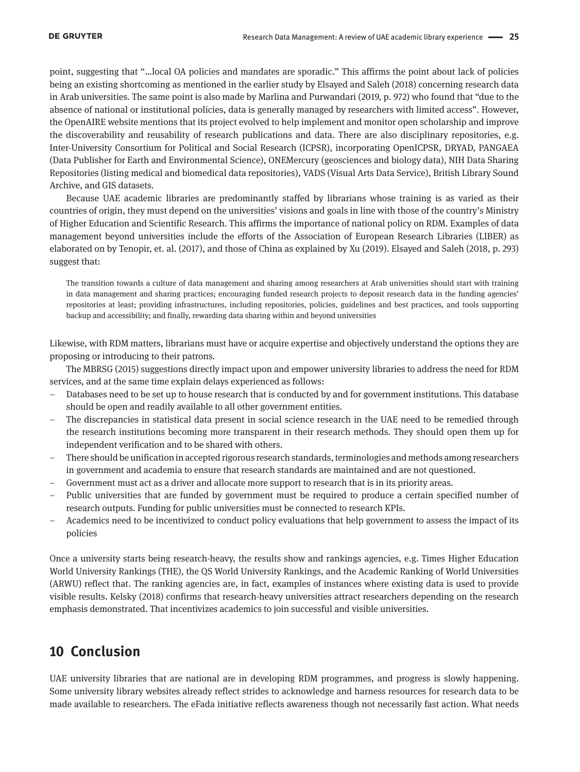point, suggesting that "…local OA policies and mandates are sporadic." This affirms the point about lack of policies being an existing shortcoming as mentioned in the earlier study by Elsayed and Saleh (2018) concerning research data in Arab universities. The same point is also made by Marlina and Purwandari (2019, p. 972) who found that "due to the absence of national or institutional policies, data is generally managed by researchers with limited access". However, the OpenAIRE website mentions that its project evolved to help implement and monitor open scholarship and improve the discoverability and reusability of research publications and data. There are also disciplinary repositories, e.g. Inter-University Consortium for Political and Social Research (ICPSR), incorporating OpenICPSR, DRYAD, PANGAEA (Data Publisher for Earth and Environmental Science), ONEMercury (geosciences and biology data), NIH Data Sharing Repositories (listing medical and biomedical data repositories), VADS (Visual Arts Data Service), British Library Sound Archive, and GIS datasets.

Because UAE academic libraries are predominantly staffed by librarians whose training is as varied as their countries of origin, they must depend on the universities' visions and goals in line with those of the country's Ministry of Higher Education and Scientific Research. This affirms the importance of national policy on RDM. Examples of data management beyond universities include the efforts of the Association of European Research Libraries (LIBER) as elaborated on by Tenopir, et. al. (2017), and those of China as explained by Xu (2019). Elsayed and Saleh (2018, p. 293) suggest that:

The transition towards a culture of data management and sharing among researchers at Arab universities should start with training in data management and sharing practices; encouraging funded research projects to deposit research data in the funding agencies' repositories at least; providing infrastructures, including repositories, policies, guidelines and best practices, and tools supporting backup and accessibility; and finally, rewarding data sharing within and beyond universities

Likewise, with RDM matters, librarians must have or acquire expertise and objectively understand the options they are proposing or introducing to their patrons.

The MBRSG (2015) suggestions directly impact upon and empower university libraries to address the need for RDM services, and at the same time explain delays experienced as follows:

- Databases need to be set up to house research that is conducted by and for government institutions. This database should be open and readily available to all other government entities.
- The discrepancies in statistical data present in social science research in the UAE need to be remedied through the research institutions becoming more transparent in their research methods. They should open them up for independent verification and to be shared with others.
- There should be unification in accepted rigorous research standards, terminologies and methods among researchers in government and academia to ensure that research standards are maintained and are not questioned.
- Government must act as a driver and allocate more support to research that is in its priority areas.
- Public universities that are funded by government must be required to produce a certain specified number of research outputs. Funding for public universities must be connected to research KPIs.
- Academics need to be incentivized to conduct policy evaluations that help government to assess the impact of its policies

Once a university starts being research-heavy, the results show and rankings agencies, e.g. Times Higher Education World University Rankings (THE), the QS World University Rankings, and the Academic Ranking of World Universities (ARWU) reflect that. The ranking agencies are, in fact, examples of instances where existing data is used to provide visible results. Kelsky (2018) confirms that research-heavy universities attract researchers depending on the research emphasis demonstrated. That incentivizes academics to join successful and visible universities.

## **10 Conclusion**

UAE university libraries that are national are in developing RDM programmes, and progress is slowly happening. Some university library websites already reflect strides to acknowledge and harness resources for research data to be made available to researchers. The eFada initiative reflects awareness though not necessarily fast action. What needs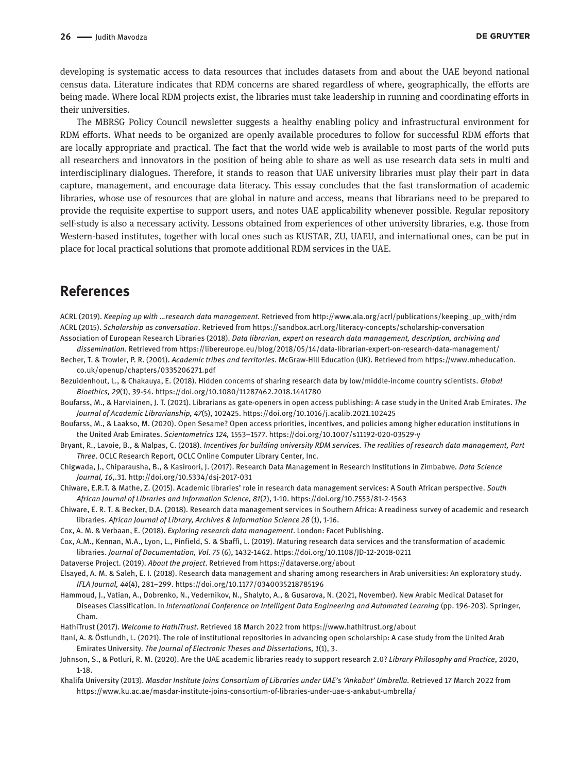developing is systematic access to data resources that includes datasets from and about the UAE beyond national census data. Literature indicates that RDM concerns are shared regardless of where, geographically, the efforts are being made. Where local RDM projects exist, the libraries must take leadership in running and coordinating efforts in their universities.

The MBRSG Policy Council newsletter suggests a healthy enabling policy and infrastructural environment for RDM efforts. What needs to be organized are openly available procedures to follow for successful RDM efforts that are locally appropriate and practical. The fact that the world wide web is available to most parts of the world puts all researchers and innovators in the position of being able to share as well as use research data sets in multi and interdisciplinary dialogues. Therefore, it stands to reason that UAE university libraries must play their part in data capture, management, and encourage data literacy. This essay concludes that the fast transformation of academic libraries, whose use of resources that are global in nature and access, means that librarians need to be prepared to provide the requisite expertise to support users, and notes UAE applicability whenever possible. Regular repository self-study is also a necessary activity. Lessons obtained from experiences of other university libraries, e.g. those from Western-based institutes, together with local ones such as KUSTAR, ZU, UAEU, and international ones, can be put in place for local practical solutions that promote additional RDM services in the UAE.

## **References**

ACRL (2019). *Keeping up with …research data management*. Retrieved from [http://www.ala.org/acrl/publications/keeping\\_up\\_with/rdm](http://www.ala.org/acrl/publications/keeping_up_with/rdm) ACRL (2015). *Scholarship as conversation*. Retrieved from <https://sandbox.acrl.org/literacy-concepts/scholarship-conversation>

- Association of European Research Libraries (2018). *Data librarian, expert on research data management, description, archiving and dissemination*. Retrieved from<https://libereurope.eu/blog/2018/05/14/data-librarian-expert-on-research-data-management/>
- Becher, T. & Trowler, P. R. (2001). *Academic tribes and territories.* McGraw-Hill Education (UK). Retrieved from [https://www.mheducation.](https://www.mheducation.co.uk/openup/chapters/0335206271.pdf) [co.uk/openup/chapters/0335206271.pdf](https://www.mheducation.co.uk/openup/chapters/0335206271.pdf)
- Bezuidenhout, L., & Chakauya, E. (2018). Hidden concerns of sharing research data by low/middle-income country scientists. *Global Bioethics, 29*(1), 39-54. <https://doi.org/10.1080/11287462.2018.1441780>
- Boufarss, M., & Harviainen, J. T. (2021). Librarians as gate-openers in open access publishing: A case study in the United Arab Emirates. *The Journal of Academic Librarianship, 47*(5), 102425. <https://doi.org/10.1016/j.acalib.2021.102425>
- Boufarss, M., & Laakso, M. (2020). Open Sesame? Open access priorities, incentives, and policies among higher education institutions in the United Arab Emirates. *Scientometrics 124,* 1553–1577. <https://doi.org/10.1007/s11192-020-03529-y>
- Bryant, R., Lavoie, B., & Malpas, C. (2018). *Incentives for building university RDM services. The realities of research data management, Part Three*. OCLC Research Report, OCLC Online Computer Library Center, Inc.
- Chigwada, J., Chiparausha, B., & Kasiroori, J. (2017). Research Data Management in Research Institutions in Zimbabwe*. Data Science Journal, 16*,.31.<http://doi.org/10.5334/dsj-2017-031>
- Chiware, E.R.T. & Mathe, Z. (2015). Academic libraries' role in research data management services: A South African perspective. *South African Journal of Libraries and Information Science, 81*(2), 1-10. <https://doi.org/10.7553/81-2-1563>
- Chiware, E. R. T. & Becker, D.A. (2018). Research data management services in Southern Africa: A readiness survey of academic and research libraries. *African Journal of Library, Archives & Information Science 28* (1), 1-16.
- Cox, A. M. & Verbaan, E. (2018). *Exploring research data management*. London: Facet Publishing.
- Cox, A.M., Kennan, M.A., Lyon, L., Pinfield, S. & Sbaffi, L. (2019). Maturing research data services and the transformation of academic libraries. *Journal of Documentation, Vol. 75* (6), 1432-1462. <https://doi.org/10.1108/JD-12-2018-0211>
- Dataverse Project. (2019). *About the project*. Retrieved from <https://dataverse.org/about>
- Elsayed, A. M. & Saleh, E. I. (2018). Research data management and sharing among researchers in Arab universities: An exploratory study. *IFLA Journal, 44*(4), 281–299.<https://doi.org/10.1177/0340035218785196>
- Hammoud, J., Vatian, A., Dobrenko, N., Vedernikov, N., Shalyto, A., & Gusarova, N. (2021, November). New Arabic Medical Dataset for Diseases Classification. In *International Conference on Intelligent Data Engineering and Automated Learning* (pp. 196-203). Springer, Cham.
- HathiTrust (2017). *Welcome to HathiTrust*. Retrieved 18 March 2022 from <https://www.hathitrust.org/about>
- Itani, A. & Östlundh, L. (2021). The role of institutional repositories in advancing open scholarship: A case study from the United Arab Emirates University. *The Journal of Electronic Theses and Dissertations, 1*(1), 3.
- Johnson, S., & Potluri, R. M. (2020). Are the UAE academic libraries ready to support research 2.0? *Library Philosophy and Practice*, 2020, 1-18.
- Khalifa University (2013). *Masdar Institute Joins Consortium of Libraries under UAE's 'Ankabut' Umbrella.* Retrieved 17 March 2022 from <https://www.ku.ac.ae/masdar-institute-joins-consortium-of-libraries-under-uae-s-ankabut-umbrella/>